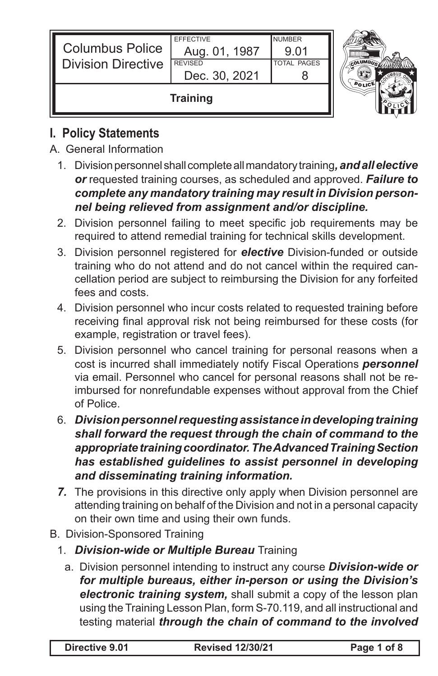| <b>Columbus Police</b><br><b>Division Directive</b> | <b>EFFECTIVE</b><br>Aug. 01, 1987<br><b>REVISED</b><br>Dec. 30, 2021 | <b>NUMBER</b><br>9.01<br><b>TOTAL PAGES</b> | <b>OLUMBIA</b> |
|-----------------------------------------------------|----------------------------------------------------------------------|---------------------------------------------|----------------|
| <b>Training</b>                                     |                                                                      |                                             |                |

# **I. Policy Statements**

- A. General Information
	- 1. Division personnel shall complete all mandatory training*, and all elective or* requested training courses, as scheduled and approved. *Failure to complete any mandatory training may result in Division personnel being relieved from assignment and/or discipline.*
	- 2. Division personnel failing to meet specific job requirements may be required to attend remedial training for technical skills development.
	- 3. Division personnel registered for *elective* Division-funded or outside training who do not attend and do not cancel within the required cancellation period are subject to reimbursing the Division for any forfeited fees and costs.
	- 4. Division personnel who incur costs related to requested training before receiving final approval risk not being reimbursed for these costs (for example, registration or travel fees).
	- 5. Division personnel who cancel training for personal reasons when a cost is incurred shall immediately notify Fiscal Operations *personnel* via email. Personnel who cancel for personal reasons shall not be reimbursed for nonrefundable expenses without approval from the Chief of Police.
	- 6. *Division personnel requesting assistance in developing training shall forward the request through the chain of command to the appropriate training coordinator. The Advanced Training Section has established guidelines to assist personnel in developing and disseminating training information.*
	- *7.* The provisions in this directive only apply when Division personnel are attending training on behalf of the Division and not in a personal capacity on their own time and using their own funds.
- B. Division-Sponsored Training
	- 1. *Division-wide or Multiple Bureau* Training
		- a. Division personnel intending to instruct any course *Division-wide or for multiple bureaus, either in-person or using the Division's electronic training system,* shall submit a copy of the lesson plan using the Training Lesson Plan, form S-70.119, and all instructional and testing material *through the chain of command to the involved*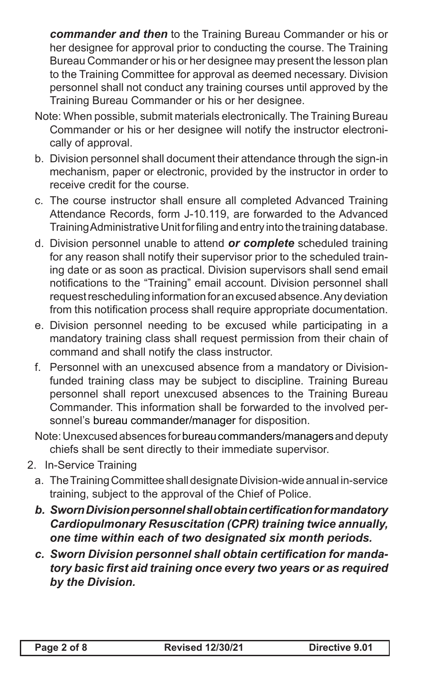*commander and then* to the Training Bureau Commander or his or her designee for approval prior to conducting the course. The Training Bureau Commander or his or her designee may present the lesson plan to the Training Committee for approval as deemed necessary. Division personnel shall not conduct any training courses until approved by the Training Bureau Commander or his or her designee.

- Note: When possible, submit materials electronically. The Training Bureau Commander or his or her designee will notify the instructor electronically of approval.
- b. Division personnel shall document their attendance through the sign-in mechanism, paper or electronic, provided by the instructor in order to receive credit for the course.
- c. The course instructor shall ensure all completed Advanced Training Attendance Records, form J-10.119, are forwarded to the Advanced Training Administrative Unit for filing and entry into the training database.
- d. Division personnel unable to attend *or complete* scheduled training for any reason shall notify their supervisor prior to the scheduled training date or as soon as practical. Division supervisors shall send email notifications to the "Training" email account. Division personnel shall request rescheduling information for an excused absence. Any deviation from this notification process shall require appropriate documentation.
- e. Division personnel needing to be excused while participating in a mandatory training class shall request permission from their chain of command and shall notify the class instructor.
- f. Personnel with an unexcused absence from a mandatory or Divisionfunded training class may be subject to discipline. Training Bureau personnel shall report unexcused absences to the Training Bureau Commander. This information shall be forwarded to the involved personnel's bureau commander/manager for disposition.
- Note: Unexcused absences for bureau commanders/managers and deputy chiefs shall be sent directly to their immediate supervisor.
- 2. In-Service Training
	- a. The Training Committee shall designate Division-wide annual in-service training, subject to the approval of the Chief of Police.
	- *b. SwornDivisionpersonnelshallobtaincertificationformandatory Cardiopulmonary Resuscitation (CPR) training twice annually, one time within each of two designated six month periods.*
	- *c. Sworn Division personnel shall obtain certification for mandatory basic first aid training once every two years or as required by the Division.*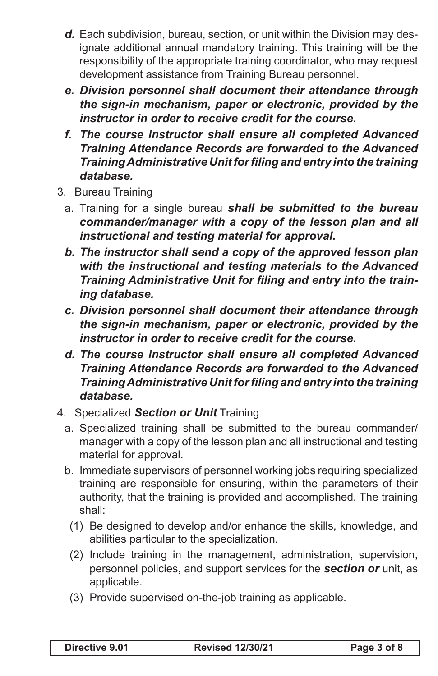- *d.* Each subdivision, bureau, section, or unit within the Division may designate additional annual mandatory training. This training will be the responsibility of the appropriate training coordinator, who may request development assistance from Training Bureau personnel.
- *e. Division personnel shall document their attendance through the sign-in mechanism, paper or electronic, provided by the instructor in order to receive credit for the course.*
- *f. The course instructor shall ensure all completed Advanced Training Attendance Records are forwarded to the Advanced TrainingAdministrative Unitfor filing and entry into the training database.*
- 3. Bureau Training
	- a. Training for a single bureau *shall be submitted to the bureau commander/manager with a copy of the lesson plan and all instructional and testing material for approval.*
	- *b. The instructor shall send a copy of the approved lesson plan with the instructional and testing materials to the Advanced Training Administrative Unit for filing and entry into the training database.*
	- *c. Division personnel shall document their attendance through the sign-in mechanism, paper or electronic, provided by the instructor in order to receive credit for the course.*
	- *d. The course instructor shall ensure all completed Advanced Training Attendance Records are forwarded to the Advanced TrainingAdministrative Unitfor filing and entry into the training database.*
- 4. Specialized *Section or Unit* Training
	- a. Specialized training shall be submitted to the bureau commander/ manager with a copy of the lesson plan and all instructional and testing material for approval.
	- b. Immediate supervisors of personnel working jobs requiring specialized training are responsible for ensuring, within the parameters of their authority, that the training is provided and accomplished. The training shall:
		- (1) Be designed to develop and/or enhance the skills, knowledge, and abilities particular to the specialization.
		- (2) Include training in the management, administration, supervision, personnel policies, and support services for the *section or* unit, as applicable.
		- (3) Provide supervised on-the-job training as applicable.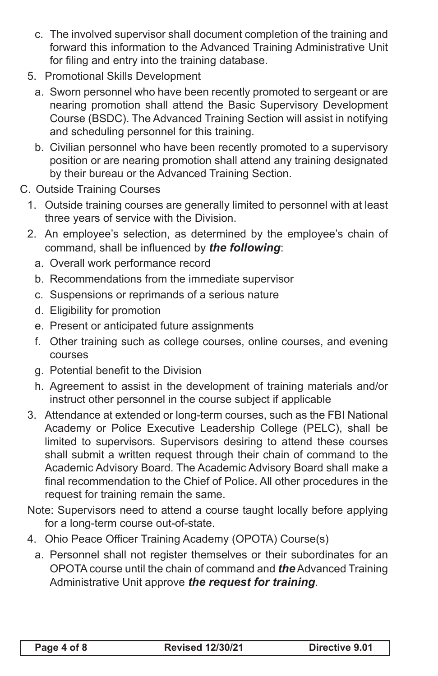- c. The involved supervisor shall document completion of the training and forward this information to the Advanced Training Administrative Unit for filing and entry into the training database.
- 5. Promotional Skills Development
	- a. Sworn personnel who have been recently promoted to sergeant or are nearing promotion shall attend the Basic Supervisory Development Course (BSDC). The Advanced Training Section will assist in notifying and scheduling personnel for this training.
	- b. Civilian personnel who have been recently promoted to a supervisory position or are nearing promotion shall attend any training designated by their bureau or the Advanced Training Section.
- C. Outside Training Courses
	- 1. Outside training courses are generally limited to personnel with at least three years of service with the Division.
	- 2. An employee's selection, as determined by the employee's chain of command, shall be influenced by *the following*:
		- a. Overall work performance record
		- b. Recommendations from the immediate supervisor
		- c. Suspensions or reprimands of a serious nature
		- d. Eligibility for promotion
		- e. Present or anticipated future assignments
		- f. Other training such as college courses, online courses, and evening courses
		- g. Potential benefit to the Division
		- h. Agreement to assist in the development of training materials and/or instruct other personnel in the course subject if applicable
	- 3. Attendance at extended or long-term courses, such as the FBI National Academy or Police Executive Leadership College (PELC), shall be limited to supervisors. Supervisors desiring to attend these courses shall submit a written request through their chain of command to the Academic Advisory Board. The Academic Advisory Board shall make a final recommendation to the Chief of Police. All other procedures in the request for training remain the same.
	- Note: Supervisors need to attend a course taught locally before applying for a long-term course out-of-state.
	- 4. Ohio Peace Officer Training Academy (OPOTA) Course(s)
		- a. Personnel shall not register themselves or their subordinates for an OPOTA course until the chain of command and *the* Advanced Training Administrative Unit approve *the request for training*.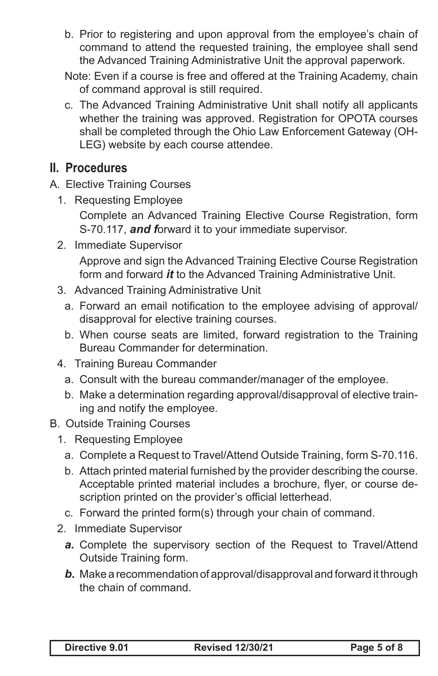- b. Prior to registering and upon approval from the employee's chain of command to attend the requested training, the employee shall send the Advanced Training Administrative Unit the approval paperwork.
- Note: Even if a course is free and offered at the Training Academy, chain of command approval is still required.
- c. The Advanced Training Administrative Unit shall notify all applicants whether the training was approved. Registration for OPOTA courses shall be completed through the Ohio Law Enforcement Gateway (OH-LEG) website by each course attendee.

# **II. Procedures**

- A. Elective Training Courses
	- 1. Requesting Employee

Complete an Advanced Training Elective Course Registration, form S-70.117, *and f*orward it to your immediate supervisor.

- 2. Immediate Supervisor Approve and sign the Advanced Training Elective Course Registration form and forward *it* to the Advanced Training Administrative Unit.
- 3. Advanced Training Administrative Unit
	- a. Forward an email notification to the employee advising of approval/ disapproval for elective training courses.
	- b. When course seats are limited, forward registration to the Training Bureau Commander for determination.
- 4. Training Bureau Commander
	- a. Consult with the bureau commander/manager of the employee.
	- b. Make a determination regarding approval/disapproval of elective training and notify the employee.

#### B. Outside Training Courses

- 1. Requesting Employee
	- a. Complete a Request to Travel/Attend Outside Training, form S-70.116.
	- b. Attach printed material furnished by the provider describing the course. Acceptable printed material includes a brochure, flyer, or course description printed on the provider's official letterhead.
	- c. Forward the printed form(s) through your chain of command.
- 2. Immediate Supervisor
	- *a.* Complete the supervisory section of the Request to Travel/Attend Outside Training form.
	- *b.* Make a recommendation of approval/disapproval and forward it through the chain of command.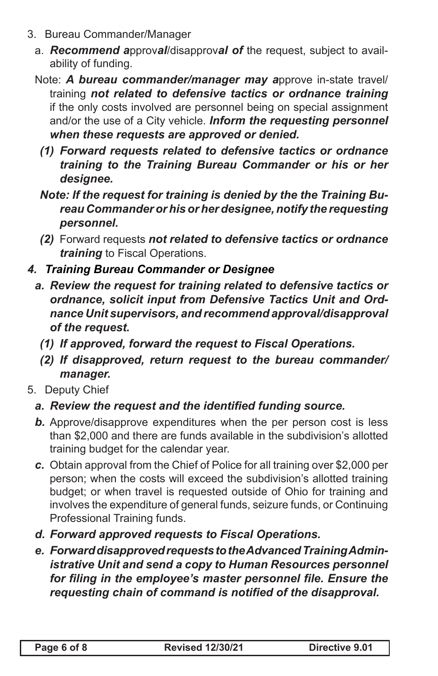- 3. Bureau Commander/Manager
	- a. *Recommend a*pprov*al*/disapprov*al of* the request, subject to availability of funding.
	- Note: *A bureau commander/manager may a*pprove in-state travel/ training *not related to defensive tactics or ordnance training* if the only costs involved are personnel being on special assignment and/or the use of a City vehicle. *Inform the requesting personnel when these requests are approved or denied.*
		- *(1) Forward requests related to defensive tactics or ordnance training to the Training Bureau Commander or his or her designee.*
		- *Note: If the request for training is denied by the the Training Bureau Commander or his or her designee, notify the requesting personnel.*
		- *(2)* Forward requests *not related to defensive tactics or ordnance training* to Fiscal Operations.

#### *4. Training Bureau Commander or Designee*

- *a. Review the request for training related to defensive tactics or ordnance, solicit input from Defensive Tactics Unit and Ordnance Unit supervisors, and recommend approval/disapproval of the request.*
	- *(1) If approved, forward the request to Fiscal Operations.*
	- *(2) If disapproved, return request to the bureau commander/ manager.*
- 5. Deputy Chief

### *a. Review the request and the identified funding source.*

- **b.** Approve/disapprove expenditures when the per person cost is less than \$2,000 and there are funds available in the subdivision's allotted training budget for the calendar year.
- *c.* Obtain approval from the Chief of Police for all training over \$2,000 per person; when the costs will exceed the subdivision's allotted training budget; or when travel is requested outside of Ohio for training and involves the expenditure of general funds, seizure funds, or Continuing Professional Training funds.
- *d. Forward approved requests to Fiscal Operations.*
- *e. Forward disapproved requests to the Advanced Training Administrative Unit and send a copy to Human Resources personnel for filing in the employee's master personnel file. Ensure the requesting chain of command is notified of the disapproval.*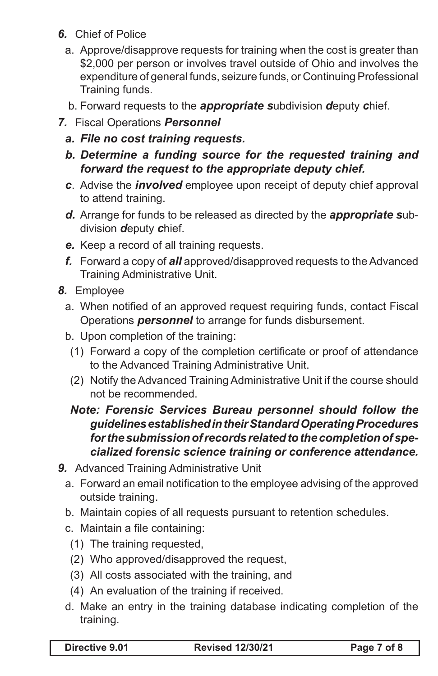- *6.* Chief of Police
	- a. Approve/disapprove requests for training when the cost is greater than \$2,000 per person or involves travel outside of Ohio and involves the expenditure of general funds, seizure funds, or Continuing Professional Training funds.
	- b. Forward requests to the *appropriate s*ubdivision *d*eputy *c*hief.
- *7.* Fiscal Operations *Personnel*
	- *a. File no cost training requests.*
	- *b. Determine a funding source for the requested training and forward the request to the appropriate deputy chief.*
	- *c*. Advise the *involved* employee upon receipt of deputy chief approval to attend training.
	- *d.* Arrange for funds to be released as directed by the *appropriate s*ubdivision *d*eputy *c*hief.
	- *e.* Keep a record of all training requests.
	- *f.* Forward a copy of *all* approved/disapproved requests to the Advanced Training Administrative Unit.
- *8.* Employee
	- a. When notified of an approved request requiring funds, contact Fiscal Operations *personnel* to arrange for funds disbursement.
	- b. Upon completion of the training:
		- (1) Forward a copy of the completion certificate or proof of attendance to the Advanced Training Administrative Unit.
		- (2) Notify the Advanced Training Administrative Unit if the course should not be recommended.

#### *Note: Forensic Services Bureau personnel should follow the guidelines established in their Standard Operating Procedures for the submission of records related to the completion of specialized forensic science training or conference attendance.*

- *9.* Advanced Training Administrative Unit
	- a. Forward an email notification to the employee advising of the approved outside training.
	- b. Maintain copies of all requests pursuant to retention schedules.
	- c. Maintain a file containing:
	- (1) The training requested,
	- (2) Who approved/disapproved the request,
	- (3) All costs associated with the training, and
	- (4) An evaluation of the training if received.
	- d. Make an entry in the training database indicating completion of the training.